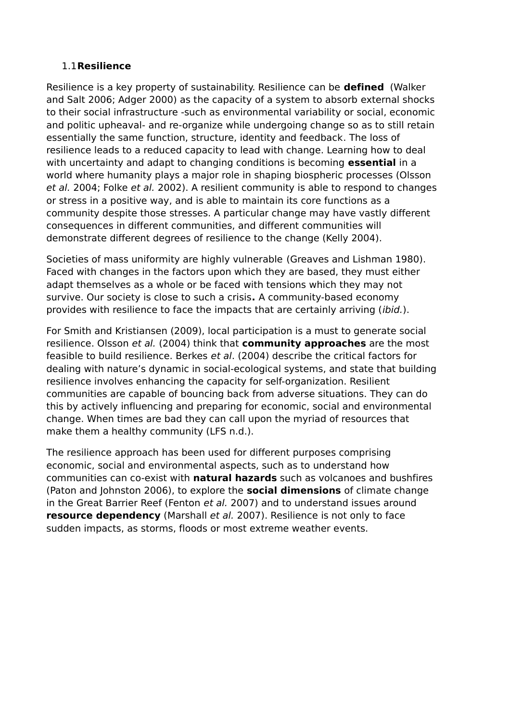## 1.1**Resilience**

Resilience is a key property of sustainability. Resilience can be **defined** (Walker and Salt 2006; Adger 2000) as the capacity of a system to absorb external shocks to their social infrastructure -such as environmental variability or social, economic and politic upheaval- and re-organize while undergoing change so as to still retain essentially the same function, structure, identity and feedback. The loss of resilience leads to a reduced capacity to lead with change. Learning how to deal with uncertainty and adapt to changing conditions is becoming **essential** in a world where humanity plays a major role in shaping biospheric processes (Olsson et al. 2004; Folke et al. 2002). A resilient community is able to respond to changes or stress in a positive way, and is able to maintain its core functions as a community despite those stresses. A particular change may have vastly different consequences in different communities, and different communities will demonstrate different degrees of resilience to the change (Kelly 2004).

Societies of mass uniformity are highly vulnerable (Greaves and Lishman 1980). Faced with changes in the factors upon which they are based, they must either adapt themselves as a whole or be faced with tensions which they may not survive. Our society is close to such a crisis**.** A community-based economy provides with resilience to face the impacts that are certainly arriving (ibid.).

For Smith and Kristiansen (2009), local participation is a must to generate social resilience. Olsson et al. (2004) think that **community approaches** are the most feasible to build resilience. Berkes et al. (2004) describe the critical factors for dealing with nature's dynamic in social-ecological systems, and state that building resilience involves enhancing the capacity for self-organization. Resilient communities are capable of bouncing back from adverse situations. They can do this by actively influencing and preparing for economic, social and environmental change. When times are bad they can call upon the myriad of resources that make them a healthy community (LFS n.d.).

The resilience approach has been used for different purposes comprising economic, social and environmental aspects, such as to understand how communities can co-exist with **natural hazards** such as volcanoes and bushfires (Paton and Johnston 2006), to explore the **social dimensions** of climate change in the Great Barrier Reef (Fenton et al. 2007) and to understand issues around **resource dependency** (Marshall et al. 2007). Resilience is not only to face sudden impacts, as storms, floods or most extreme weather events.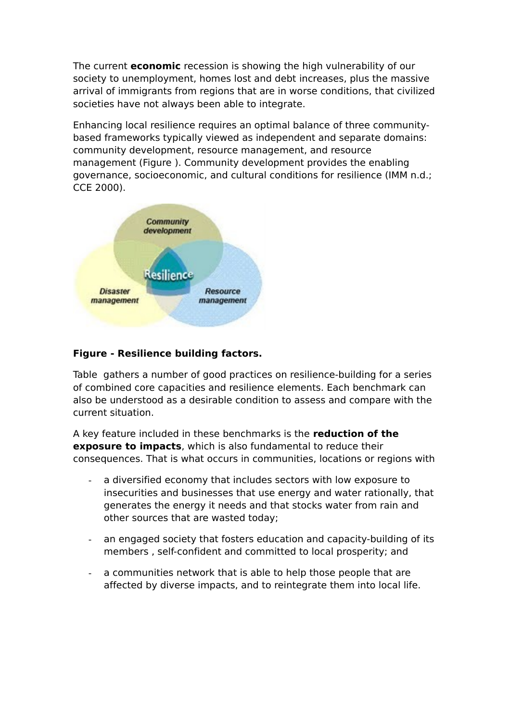The current **economic** recession is showing the high vulnerability of our society to unemployment, homes lost and debt increases, plus the massive arrival of immigrants from regions that are in worse conditions, that civilized societies have not always been able to integrate.

Enhancing local resilience requires an optimal balance of three communitybased frameworks typically viewed as independent and separate domains: community development, resource management, and resource management [\(Figure \)](#page-1-0). Community development provides the enabling governance, socioeconomic, and cultural conditions for resilience (IMM n.d.; CCE 2000).



## <span id="page-1-0"></span>**Figure - Resilience building factors.**

[Table](#page-2-0) gathers a number of good practices on resilience-building for a series of combined core capacities and resilience elements. Each benchmark can also be understood as a desirable condition to assess and compare with the current situation.

A key feature included in these benchmarks is the **reduction of the exposure to impacts**, which is also fundamental to reduce their consequences. That is what occurs in communities, locations or regions with

- a diversified economy that includes sectors with low exposure to insecurities and businesses that use energy and water rationally, that generates the energy it needs and that stocks water from rain and other sources that are wasted today;
- an engaged society that fosters education and capacity-building of its members , self-confident and committed to local prosperity; and
- a communities network that is able to help those people that are affected by diverse impacts, and to reintegrate them into local life.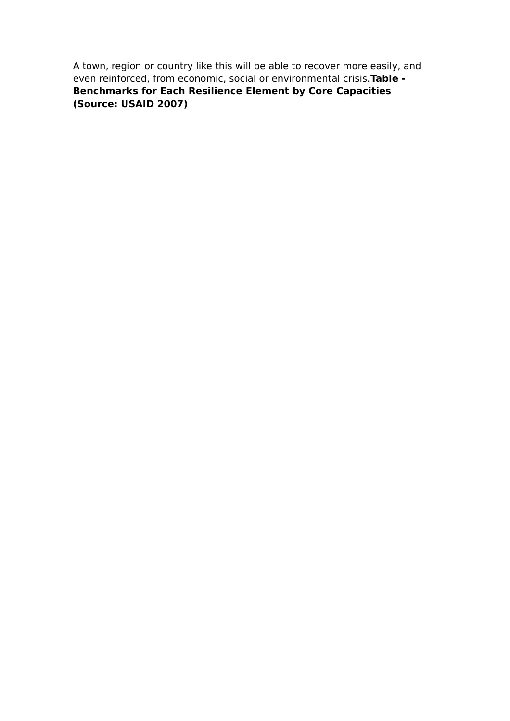<span id="page-2-0"></span>A town, region or country like this will be able to recover more easily, and even reinforced, from economic, social or environmental crisis.**Table - Benchmarks for Each Resilience Element by Core Capacities (Source: USAID 2007)**